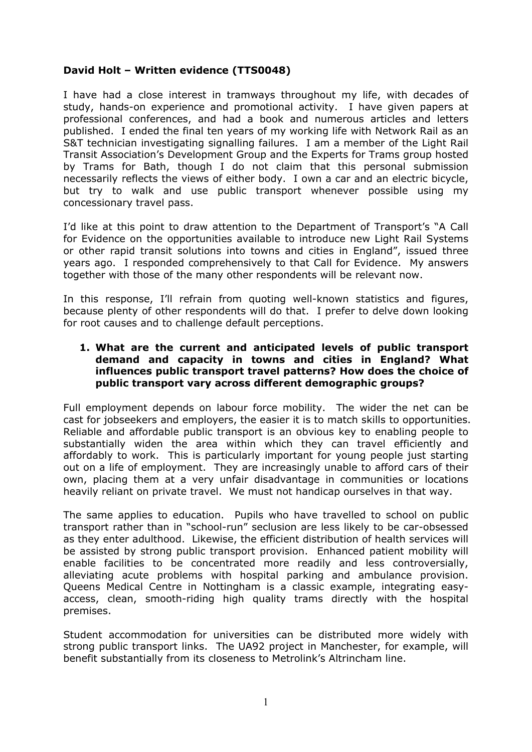# **David Holt – Written evidence (TTS0048)**

I have had a close interest in tramways throughout my life, with decades of study, hands-on experience and promotional activity. I have given papers at professional conferences, and had a book and numerous articles and letters published. I ended the final ten years of my working life with Network Rail as an S&T technician investigating signalling failures. I am a member of the Light Rail Transit Association's Development Group and the Experts for Trams group hosted by Trams for Bath, though I do not claim that this personal submission necessarily reflects the views of either body. I own a car and an electric bicycle, but try to walk and use public transport whenever possible using my concessionary travel pass.

I'd like at this point to draw attention to the Department of Transport's "A Call for Evidence on the opportunities available to introduce new Light Rail Systems or other rapid transit solutions into towns and cities in England", issued three years ago. I responded comprehensively to that Call for Evidence. My answers together with those of the many other respondents will be relevant now.

In this response, I'll refrain from quoting well-known statistics and figures, because plenty of other respondents will do that. I prefer to delve down looking for root causes and to challenge default perceptions.

### **1. What are the current and anticipated levels of public transport demand and capacity in towns and cities in England? What influences public transport travel patterns? How does the choice of public transport vary across different demographic groups?**

Full employment depends on labour force mobility. The wider the net can be cast for jobseekers and employers, the easier it is to match skills to opportunities. Reliable and affordable public transport is an obvious key to enabling people to substantially widen the area within which they can travel efficiently and affordably to work. This is particularly important for young people just starting out on a life of employment. They are increasingly unable to afford cars of their own, placing them at a very unfair disadvantage in communities or locations heavily reliant on private travel. We must not handicap ourselves in that way.

The same applies to education. Pupils who have travelled to school on public transport rather than in "school-run" seclusion are less likely to be car-obsessed as they enter adulthood. Likewise, the efficient distribution of health services will be assisted by strong public transport provision. Enhanced patient mobility will enable facilities to be concentrated more readily and less controversially, alleviating acute problems with hospital parking and ambulance provision. Queens Medical Centre in Nottingham is a classic example, integrating easyaccess, clean, smooth-riding high quality trams directly with the hospital premises.

Student accommodation for universities can be distributed more widely with strong public transport links. The UA92 project in Manchester, for example, will benefit substantially from its closeness to Metrolink's Altrincham line.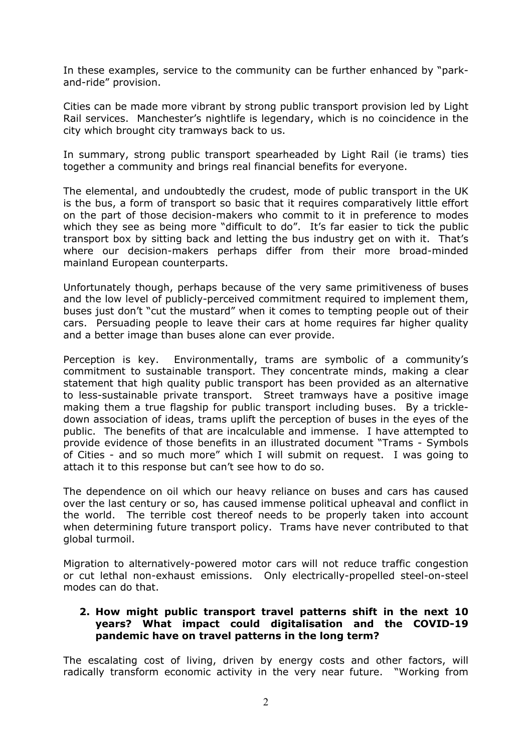In these examples, service to the community can be further enhanced by "parkand-ride" provision.

Cities can be made more vibrant by strong public transport provision led by Light Rail services. Manchester's nightlife is legendary, which is no coincidence in the city which brought city tramways back to us.

In summary, strong public transport spearheaded by Light Rail (ie trams) ties together a community and brings real financial benefits for everyone.

The elemental, and undoubtedly the crudest, mode of public transport in the UK is the bus, a form of transport so basic that it requires comparatively little effort on the part of those decision-makers who commit to it in preference to modes which they see as being more "difficult to do". It's far easier to tick the public transport box by sitting back and letting the bus industry get on with it. That's where our decision-makers perhaps differ from their more broad-minded mainland European counterparts.

Unfortunately though, perhaps because of the very same primitiveness of buses and the low level of publicly-perceived commitment required to implement them, buses just don't "cut the mustard" when it comes to tempting people out of their cars. Persuading people to leave their cars at home requires far higher quality and a better image than buses alone can ever provide.

Perception is key. Environmentally, trams are symbolic of a community's commitment to sustainable transport. They concentrate minds, making a clear statement that high quality public transport has been provided as an alternative to less-sustainable private transport. Street tramways have a positive image making them a true flagship for public transport including buses. By a trickledown association of ideas, trams uplift the perception of buses in the eyes of the public. The benefits of that are incalculable and immense. I have attempted to provide evidence of those benefits in an illustrated document "Trams - Symbols of Cities - and so much more" which I will submit on request. I was going to attach it to this response but can't see how to do so.

The dependence on oil which our heavy reliance on buses and cars has caused over the last century or so, has caused immense political upheaval and conflict in the world. The terrible cost thereof needs to be properly taken into account when determining future transport policy. Trams have never contributed to that global turmoil.

Migration to alternatively-powered motor cars will not reduce traffic congestion or cut lethal non-exhaust emissions. Only electrically-propelled steel-on-steel modes can do that.

## **2. How might public transport travel patterns shift in the next 10 years? What impact could digitalisation and the COVID-19 pandemic have on travel patterns in the long term?**

The escalating cost of living, driven by energy costs and other factors, will radically transform economic activity in the very near future. "Working from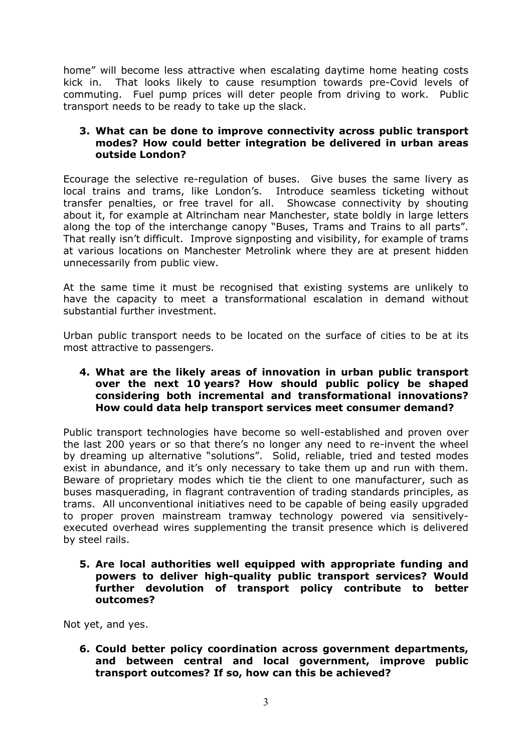home" will become less attractive when escalating daytime home heating costs kick in. That looks likely to cause resumption towards pre-Covid levels of commuting. Fuel pump prices will deter people from driving to work. Public transport needs to be ready to take up the slack.

### **3. What can be done to improve connectivity across public transport modes? How could better integration be delivered in urban areas outside London?**

Ecourage the selective re-regulation of buses. Give buses the same livery as local trains and trams, like London's. Introduce seamless ticketing without transfer penalties, or free travel for all. Showcase connectivity by shouting about it, for example at Altrincham near Manchester, state boldly in large letters along the top of the interchange canopy "Buses, Trams and Trains to all parts". That really isn't difficult. Improve signposting and visibility, for example of trams at various locations on Manchester Metrolink where they are at present hidden unnecessarily from public view.

At the same time it must be recognised that existing systems are unlikely to have the capacity to meet a transformational escalation in demand without substantial further investment.

Urban public transport needs to be located on the surface of cities to be at its most attractive to passengers.

#### **4. What are the likely areas of innovation in urban public transport over the next 10 years? How should public policy be shaped considering both incremental and transformational innovations? How could data help transport services meet consumer demand?**

Public transport technologies have become so well-established and proven over the last 200 years or so that there's no longer any need to re-invent the wheel by dreaming up alternative "solutions". Solid, reliable, tried and tested modes exist in abundance, and it's only necessary to take them up and run with them. Beware of proprietary modes which tie the client to one manufacturer, such as buses masquerading, in flagrant contravention of trading standards principles, as trams. All unconventional initiatives need to be capable of being easily upgraded to proper proven mainstream tramway technology powered via sensitivelyexecuted overhead wires supplementing the transit presence which is delivered by steel rails.

**5. Are local authorities well equipped with appropriate funding and powers to deliver high-quality public transport services? Would further devolution of transport policy contribute to better outcomes?**

Not yet, and yes.

**6. Could better policy coordination across government departments, and between central and local government, improve public transport outcomes? If so, how can this be achieved?**